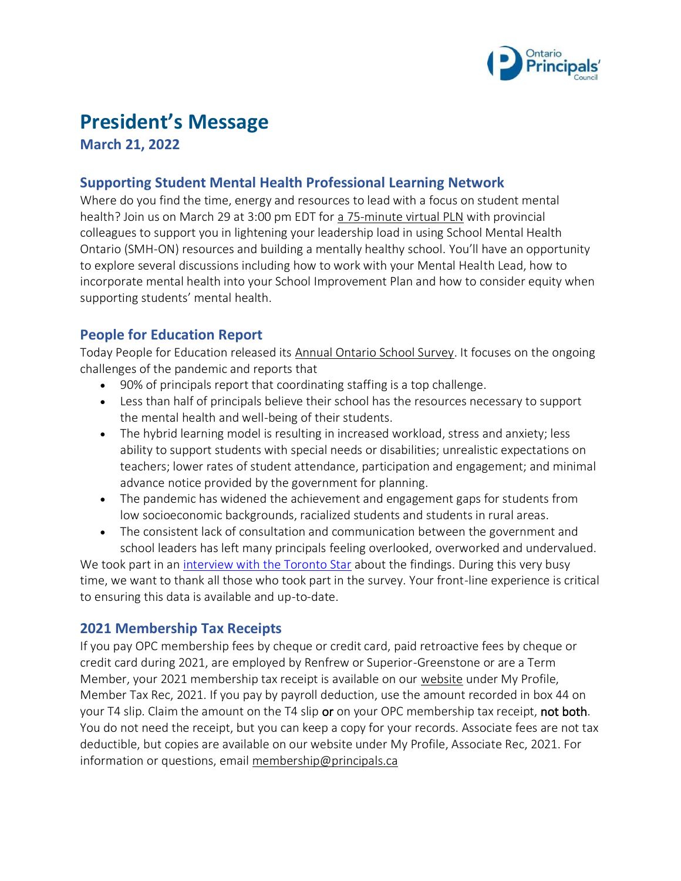

# **President's Message**

**March 21, 2022**

## **Supporting Student Mental Health Professional Learning Network**

Where do you find the time, energy and resources to lead with a focus on student mental health? Join us on March 29 at 3:00 pm EDT for [a 75-minute virtual PLN](https://www.principals.ca/en/professional-learning/supporting-student-mental-health-project.aspx) with provincial colleagues to support you in lightening your leadership load in using School Mental Health Ontario (SMH-ON) resources and building a mentally healthy school. You'll have an opportunity to explore several discussions including how to work with your Mental Health Lead, how to incorporate mental health into your School Improvement Plan and how to consider equity when supporting students' mental health.

# **People for Education Report**

Today People for Education released its [Annual Ontario School Survey.](https://peopleforeducation.ca/report/2022-annual-report-on-schools-a-perfect-storm-of-stress/) It focuses on the ongoing challenges of the pandemic and reports that

- 90% of principals report that coordinating staffing is a top challenge.
- Less than half of principals believe their school has the resources necessary to support the mental health and well-being of their students.
- The hybrid learning model is resulting in increased workload, stress and anxiety; less ability to support students with special needs or disabilities; unrealistic expectations on teachers; lower rates of student attendance, participation and engagement; and minimal advance notice provided by the government for planning.
- The pandemic has widened the achievement and engagement gaps for students from low socioeconomic backgrounds, racialized students and students in rural areas.
- The consistent lack of consultation and communication between the government and school leaders has left many principals feeling overlooked, overworked and undervalued.

We took part in an [interview with the Toronto Star](https://www.thestar.com/politics/provincial/2022/03/21/a-perfect-storm-of-stress-what-school-principals-say-about-the-nightmare-of-dealing-with-the-pandemic.html) about the findings. During this very busy time, we want to thank all those who took part in the survey. Your front-line experience is critical to ensuring this data is available and up-to-date.

# **2021 Membership Tax Receipts**

If you pay OPC membership fees by cheque or credit card, paid retroactive fees by cheque or credit card during 2021, are employed by Renfrew or Superior-Greenstone or are a Term Member, your 2021 membership tax receipt is available on our [website](https://www.principals.ca/en/index.aspx) under My Profile, Member Tax Rec, 2021. If you pay by payroll deduction, use the amount recorded in box 44 on your T4 slip. Claim the amount on the T4 slip or on your OPC membership tax receipt, not both. You do not need the receipt, but you can keep a copy for your records. Associate fees are not tax deductible, but copies are available on our website under My Profile, Associate Rec, 2021. For information or questions, email [membership@principals.ca](mailto:membership@principals.ca)